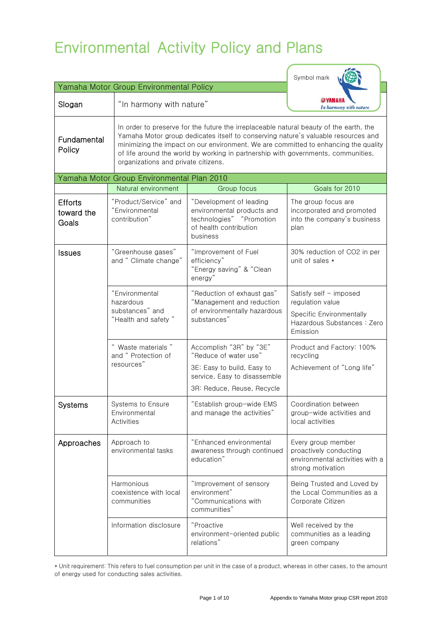# Environmental Activity Policy and Plans

|                                         |                                                                       |                                                                                                                                                                                                                                                                                                                                                                                                | Symbol mark                                                                                                              |  |
|-----------------------------------------|-----------------------------------------------------------------------|------------------------------------------------------------------------------------------------------------------------------------------------------------------------------------------------------------------------------------------------------------------------------------------------------------------------------------------------------------------------------------------------|--------------------------------------------------------------------------------------------------------------------------|--|
| Yamaha Motor Group Environmental Policy |                                                                       |                                                                                                                                                                                                                                                                                                                                                                                                |                                                                                                                          |  |
| Slogan                                  |                                                                       | "In harmony with nature"                                                                                                                                                                                                                                                                                                                                                                       |                                                                                                                          |  |
| Fundamental<br>Policy                   |                                                                       | In order to preserve for the future the irreplaceable natural beauty of the earth, the<br>Yamaha Motor group dedicates itself to conserving nature's valuable resources and<br>minimizing the impact on our environment. We are committed to enhancing the quality<br>of life around the world by working in partnership with governments, communities,<br>organizations and private citizens. |                                                                                                                          |  |
|                                         | Yamaha Motor Group Environmental Plan 2010                            |                                                                                                                                                                                                                                                                                                                                                                                                |                                                                                                                          |  |
|                                         | Natural environment                                                   | Group focus                                                                                                                                                                                                                                                                                                                                                                                    | Goals for 2010                                                                                                           |  |
| <b>Efforts</b><br>toward the<br>Goals   | "Product/Service" and<br>"Environmental<br>contribution"              | "Development of leading<br>environmental products and<br>technologies" "Promotion<br>of health contribution<br>business                                                                                                                                                                                                                                                                        | The group focus are<br>incorporated and promoted<br>into the company's business<br>plan                                  |  |
| <b>Issues</b>                           | "Greenhouse gases"<br>and " Climate change"                           | "Improvement of Fuel<br>efficiency"<br>"Energy saving" & "Clean<br>energy"                                                                                                                                                                                                                                                                                                                     | 30% reduction of CO2 in per<br>unit of sales $\star$                                                                     |  |
|                                         | "Environmental<br>hazardous<br>substances" and<br>"Health and safety" | "Reduction of exhaust gas"<br>"Management and reduction<br>of environmentally hazardous<br>substances"                                                                                                                                                                                                                                                                                         | Satisfy self - imposed<br>regulation value<br><b>Specific Environmentally</b><br>Hazardous Substances : Zero<br>Emission |  |
|                                         | " Waste materials "<br>and " Protection of<br>resources"              | Accomplish "3R" by "3E"<br>"Reduce of water use"<br>3E: Easy to build, Easy to<br>service, Easy to disassemble<br>3R: Reduce, Reuse, Recycle                                                                                                                                                                                                                                                   | Product and Factory: 100%<br>recycling<br>Achievement of "Long life"                                                     |  |
| <b>Systems</b>                          | Systems to Ensure<br>Environmental<br><b>Activities</b>               | "Establish group-wide EMS<br>and manage the activities"                                                                                                                                                                                                                                                                                                                                        | Coordination between<br>group-wide activities and<br>local activities                                                    |  |
| Approaches                              | Approach to<br>environmental tasks                                    | "Enhanced environmental<br>awareness through continued<br>education"                                                                                                                                                                                                                                                                                                                           | Every group member<br>proactively conducting<br>environmental activities with a<br>strong motivation                     |  |
|                                         | Harmonious<br>coexistence with local<br>communities                   | "Improvement of sensory<br>environment"<br>"Communications with<br>communities"                                                                                                                                                                                                                                                                                                                | Being Trusted and Loved by<br>the Local Communities as a<br>Corporate Citizen                                            |  |
|                                         | Information disclosure                                                | "Proactive<br>environment-oriented public<br>relations"                                                                                                                                                                                                                                                                                                                                        | Well received by the<br>communities as a leading<br>green company                                                        |  |

\* Unit requirement: This refers to fuel consumption per unit in the case of a product, whereas in other cases, to the amount of energy used for conducting sales activities.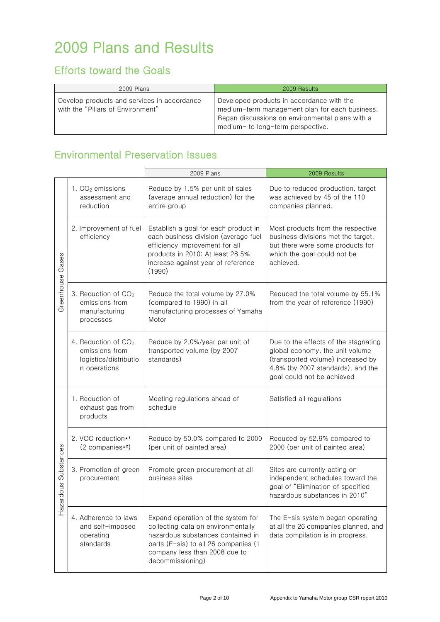# 2009 Plans and Results

## Efforts toward the Goals

| 2009 Plans                                                                       | 2009 Results                                                                                                                                                                        |
|----------------------------------------------------------------------------------|-------------------------------------------------------------------------------------------------------------------------------------------------------------------------------------|
| Develop products and services in accordance<br>with the "Pillars of Environment" | Developed products in accordance with the<br>medium-term management plan for each business.<br>Began discussions on environmental plans with a<br>medium- to long-term perspective. |

## Environmental Preservation Issues

|                     |                                                                                            | 2009 Plans                                                                                                                                                                                                 | 2009 Results                                                                                                                                                                    |
|---------------------|--------------------------------------------------------------------------------------------|------------------------------------------------------------------------------------------------------------------------------------------------------------------------------------------------------------|---------------------------------------------------------------------------------------------------------------------------------------------------------------------------------|
| Gases<br>Greenhouse | 1. $CO2$ emissions<br>assessment and<br>reduction                                          | Reduce by 1.5% per unit of sales<br>(average annual reduction) for the<br>entire group                                                                                                                     | Due to reduced production, target<br>was achieved by 45 of the 110<br>companies planned.                                                                                        |
|                     | 2. Improvement of fuel<br>efficiency                                                       | Establish a goal for each product in<br>each business division (average fuel<br>efficiency improvement for all<br>products in 2010: At least 28.5%<br>increase against year of reference<br>(1990)         | Most products from the respective<br>business divisions met the target,<br>but there were some products for<br>which the goal could not be<br>achieved.                         |
|                     | 3. Reduction of CO <sub>2</sub><br>emissions from<br>manufacturing<br>processes            | Reduce the total volume by 27.0%<br>(compared to 1990) in all<br>manufacturing processes of Yamaha<br>Motor                                                                                                | Reduced the total volume by 55.1%<br>from the year of reference (1990)                                                                                                          |
|                     | 4. Reduction of CO <sub>2</sub><br>emissions from<br>logistics/distributio<br>n operations | Reduce by 2.0%/year per unit of<br>transported volume (by 2007<br>standards)                                                                                                                               | Due to the effects of the stagnating<br>global economy, the unit volume<br>(transported volume) increased by<br>4.8% (by 2007 standards), and the<br>goal could not be achieved |
| Substances<br>snop. | 1. Reduction of<br>exhaust gas from<br>products                                            | Meeting regulations ahead of<br>schedule                                                                                                                                                                   | Satisfied all regulations                                                                                                                                                       |
|                     | 2. VOC reduction*1<br>$(2$ companies $*^2$ )                                               | Reduce by 50.0% compared to 2000<br>(per unit of painted area)                                                                                                                                             | Reduced by 52.9% compared to<br>2000 (per unit of painted area)                                                                                                                 |
|                     | 3. Promotion of green<br>procurement                                                       | Promote green procurement at all<br>business sites                                                                                                                                                         | Sites are currently acting on<br>independent schedules toward the<br>goal of "Elimination of specified<br>hazardous substances in 2010"                                         |
| Hazar               | 4. Adherence to laws<br>and self-imposed<br>operating<br>standards                         | Expand operation of the system for<br>collecting data on environmentally<br>hazardous substances contained in<br>parts (E-sis) to all 26 companies (1<br>company less than 2008 due to<br>decommissioning) | The E-sis system began operating<br>at all the 26 companies planned, and<br>data compilation is in progress.                                                                    |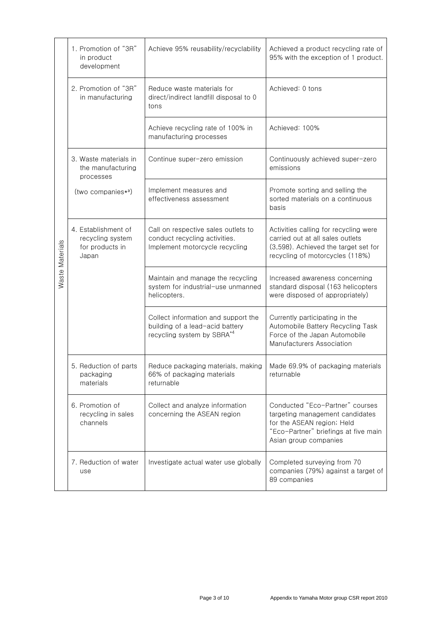| Waste Materials | 1. Promotion of "3R"<br>in product<br>development                            | Achieve 95% reusability/recyclability                                                                            | Achieved a product recycling rate of<br>95% with the exception of 1 product.                                                                                      |
|-----------------|------------------------------------------------------------------------------|------------------------------------------------------------------------------------------------------------------|-------------------------------------------------------------------------------------------------------------------------------------------------------------------|
|                 | 2. Promotion of "3R"<br>in manufacturing                                     | Reduce waste materials for<br>direct/indirect landfill disposal to 0<br>tons                                     | Achieved: 0 tons                                                                                                                                                  |
|                 |                                                                              | Achieve recycling rate of 100% in<br>manufacturing processes                                                     | Achieved: 100%                                                                                                                                                    |
|                 | 3. Waste materials in<br>the manufacturing<br>processes<br>(two companies*3) | Continue super-zero emission                                                                                     | Continuously achieved super-zero<br>emissions                                                                                                                     |
|                 |                                                                              | Implement measures and<br>effectiveness assessment                                                               | Promote sorting and selling the<br>sorted materials on a continuous<br>basis                                                                                      |
|                 | 4. Establishment of<br>recycling system<br>for products in<br>Japan          | Call on respective sales outlets to<br>conduct recycling activities.<br>Implement motorcycle recycling           | Activities calling for recycling were<br>carried out at all sales outlets<br>(3,598). Achieved the target set for<br>recycling of motorcycles (118%)              |
|                 |                                                                              | Maintain and manage the recycling<br>system for industrial-use unmanned<br>helicopters.                          | Increased awareness concerning<br>standard disposal (163 helicopters<br>were disposed of appropriately)                                                           |
|                 |                                                                              | Collect information and support the<br>building of a lead-acid battery<br>recycling system by SBRA <sup>*4</sup> | Currently participating in the<br>Automobile Battery Recycling Task<br>Force of the Japan Automobile<br>Manufacturers Association                                 |
|                 | 5. Reduction of parts<br>packaging<br>materials                              | Reduce packaging materials, making<br>66% of packaging materials<br>returnable                                   | Made 69.9% of packaging materials<br>returnable                                                                                                                   |
|                 | 6. Promotion of<br>recycling in sales<br>channels                            | Collect and analyze information<br>concerning the ASEAN region                                                   | Conducted "Eco-Partner" courses<br>targeting management candidates<br>for the ASEAN region; Held<br>"Eco-Partner" briefings at five main<br>Asian group companies |
|                 | 7. Reduction of water<br>use                                                 | Investigate actual water use globally                                                                            | Completed surveying from 70<br>companies (79%) against a target of<br>89 companies                                                                                |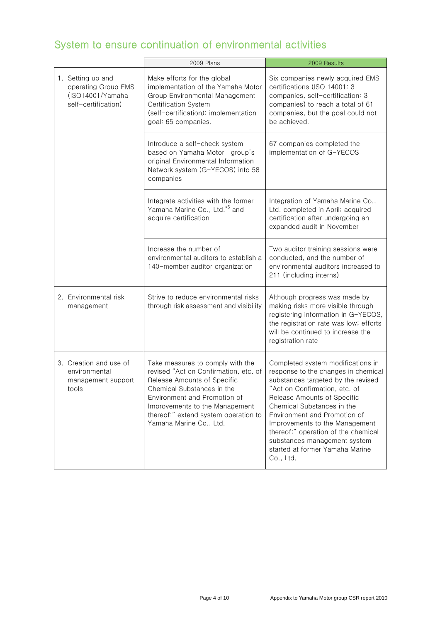## System to ensure continuation of environmental activities

|                                                                                     | 2009 Plans                                                                                                                                                                                                                                                                  | 2009 Results                                                                                                                                                                                                                                                                                                                                                                                          |
|-------------------------------------------------------------------------------------|-----------------------------------------------------------------------------------------------------------------------------------------------------------------------------------------------------------------------------------------------------------------------------|-------------------------------------------------------------------------------------------------------------------------------------------------------------------------------------------------------------------------------------------------------------------------------------------------------------------------------------------------------------------------------------------------------|
| 1. Setting up and<br>operating Group EMS<br>(ISO14001/Yamaha<br>self-certification) | Make efforts for the global<br>implementation of the Yamaha Motor<br>Group Environmental Management<br>Certification System<br>(self-certification); implementation<br>goal: 65 companies.                                                                                  | Six companies newly acquired EMS<br>certifications (ISO 14001: 3<br>companies, self-certification: 3<br>companies) to reach a total of 61<br>companies, but the goal could not<br>be achieved.                                                                                                                                                                                                        |
|                                                                                     | Introduce a self-check system<br>based on Yamaha Motor group's<br>original Environmental Information<br>Network system (G-YECOS) into 58<br>companies                                                                                                                       | 67 companies completed the<br>implementation of G-YECOS                                                                                                                                                                                                                                                                                                                                               |
|                                                                                     | Integrate activities with the former<br>Yamaha Marine Co., Ltd. <sup>*5</sup> and<br>acquire certification                                                                                                                                                                  | Integration of Yamaha Marine Co.,<br>Ltd. completed in April; acquired<br>certification after undergoing an<br>expanded audit in November                                                                                                                                                                                                                                                             |
|                                                                                     | Increase the number of<br>environmental auditors to establish a<br>140-member auditor organization                                                                                                                                                                          | Two auditor training sessions were<br>conducted, and the number of<br>environmental auditors increased to<br>211 (including interns)                                                                                                                                                                                                                                                                  |
| 2. Environmental risk<br>management                                                 | Strive to reduce environmental risks<br>through risk assessment and visibility                                                                                                                                                                                              | Although progress was made by<br>making risks more visible through<br>registering information in G-YECOS,<br>the registration rate was low; efforts<br>will be continued to increase the<br>registration rate                                                                                                                                                                                         |
| 3. Creation and use of<br>environmental<br>management support<br>tools              | Take measures to comply with the<br>revised "Act on Confirmation, etc. of<br>Release Amounts of Specific<br>Chemical Substances in the<br>Environment and Promotion of<br>Improvements to the Management<br>thereof:" extend system operation to<br>Yamaha Marine Co., Ltd. | Completed system modifications in<br>response to the changes in chemical<br>substances targeted by the revised<br>"Act on Confirmation, etc. of<br>Release Amounts of Specific<br>Chemical Substances in the<br>Environment and Promotion of<br>Improvements to the Management<br>thereof;" operation of the chemical<br>substances management system<br>started at former Yamaha Marine<br>Co., Ltd. |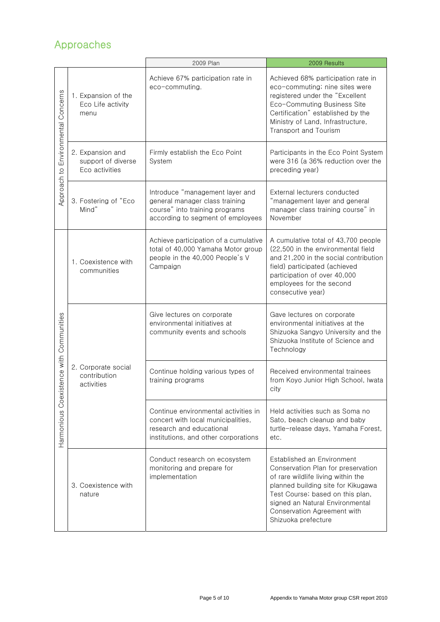## Approaches

|                                            |                                                          | 2009 Plan                                                                                                                                      | 2009 Results                                                                                                                                                                                                                                                              |
|--------------------------------------------|----------------------------------------------------------|------------------------------------------------------------------------------------------------------------------------------------------------|---------------------------------------------------------------------------------------------------------------------------------------------------------------------------------------------------------------------------------------------------------------------------|
| Concerns<br>Environmental<br>Approach to   | 1. Expansion of the<br>Eco Life activity<br>menu         | Achieve 67% participation rate in<br>eco-commuting.                                                                                            | Achieved 68% participation rate in<br>eco-commuting; nine sites were<br>registered under the "Excellent<br>Eco-Commuting Business Site<br>Certification" established by the<br>Ministry of Land, Infrastructure,<br>Transport and Tourism                                 |
|                                            | 2. Expansion and<br>support of diverse<br>Eco activities | Firmly establish the Eco Point<br>System                                                                                                       | Participants in the Eco Point System<br>were 316 (a 36% reduction over the<br>preceding year)                                                                                                                                                                             |
|                                            | 3. Fostering of "Eco<br>Mind"                            | Introduce "management layer and<br>general manager class training<br>course" into training programs<br>according to segment of employees       | External lecturers conducted<br>"management layer and general<br>manager class training course" in<br>November                                                                                                                                                            |
| Coexistence with Communities<br>Harmonious | 1. Coexistence with<br>communities                       | Achieve participation of a cumulative<br>total of 40,000 Yamaha Motor group<br>people in the 40,000 People's V<br>Campaign                     | A cumulative total of 43,700 people<br>(22,500 in the environmental field<br>and 21,200 in the social contribution<br>field) participated (achieved<br>participation of over 40,000<br>employees for the second<br>consecutive year)                                      |
|                                            | 2. Corporate social<br>contribution<br>activities        | Give lectures on corporate<br>environmental initiatives at<br>community events and schools                                                     | Gave lectures on corporate<br>environmental initiatives at the<br>Shizuoka Sangyo University and the<br>Shizuoka Institute of Science and<br>Technology                                                                                                                   |
|                                            |                                                          | Continue holding various types of<br>training programs                                                                                         | Received environmental trainees<br>from Koyo Junior High School, Iwata<br>city                                                                                                                                                                                            |
|                                            |                                                          | Continue environmental activities in<br>concert with local municipalities,<br>research and educational<br>institutions, and other corporations | Held activities such as Soma no<br>Sato, beach cleanup and baby<br>turtle-release days, Yamaha Forest,<br>etc.                                                                                                                                                            |
|                                            | 3. Coexistence with<br>nature                            | Conduct research on ecosystem<br>monitoring and prepare for<br>implementation                                                                  | Established an Environment<br>Conservation Plan for preservation<br>of rare wildlife living within the<br>planned building site for Kikugawa<br>Test Course; based on this plan,<br>signed an Natural Environmental<br>Conservation Agreement with<br>Shizuoka prefecture |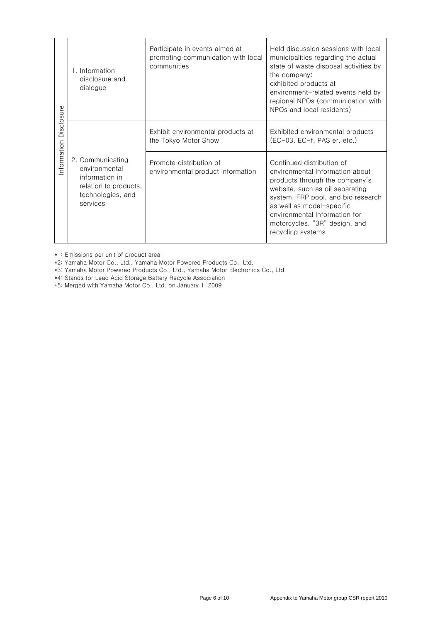| isclosure<br>$\bigcirc$<br>nformation | 1. Information<br>disclosure and<br>dialogue                                                                  | Participate in events aimed at<br>promoting communication with local<br>communities | Held discussion sessions with local<br>municipalities regarding the actual<br>state of waste disposal activities by<br>the company;<br>exhibited products at<br>environment-related events held by<br>regional NPOs (communication with<br>NPOs and local residents)                        |
|---------------------------------------|---------------------------------------------------------------------------------------------------------------|-------------------------------------------------------------------------------------|---------------------------------------------------------------------------------------------------------------------------------------------------------------------------------------------------------------------------------------------------------------------------------------------|
|                                       | 2. Communicating<br>environmental<br>information in<br>relation to products.<br>technologies, and<br>services | Exhibit environmental products at<br>the Tokyo Motor Show                           | Exhibited environmental products<br>$(EC-03, EC-f, PAS er, etc.)$                                                                                                                                                                                                                           |
|                                       |                                                                                                               | Promote distribution of<br>environmental product information                        | Continued distribution of<br>environmental information about<br>products through the company's<br>website, such as oil separating<br>system, FRP pool, and bio research<br>as well as model-specific<br>environmental information for<br>motorcycles, "3R" design, and<br>recycling systems |

\*1: Emissions per unit of product area

\*2: Yamaha Motor Co., Ltd., Yamaha Motor Powered Products Co., Ltd.

\*3: Yamaha Motor Powered Products Co., Ltd., Yamaha Motor Electronics Co., Ltd.

\*4: Stands for Lead Acid Storage Battery Recycle Association

\*5: Merged with Yamaha Motor Co., Ltd. on January 1, 2009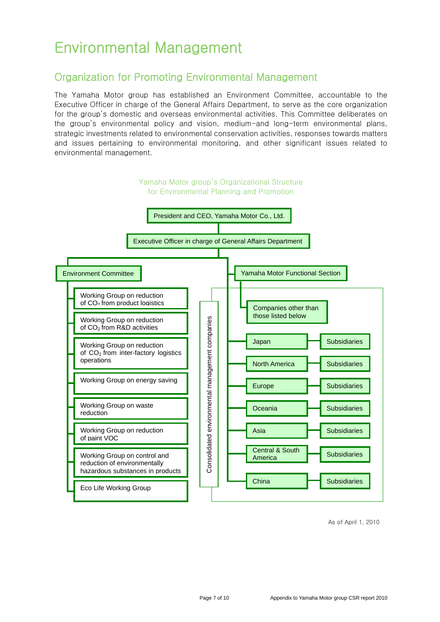# Environmental Management

### Organization for Promoting Environmental Management

The Yamaha Motor group has established an Environment Committee, accountable to the Executive Officer in charge of the General Affairs Department, to serve as the core organization for the group's domestic and overseas environmental activities. This Committee deliberates on the group's environmental policy and vision, medium-and long-term environmental plans, strategic investments related to environmental conservation activities, responses towards matters and issues pertaining to environmental monitoring, and other significant issues related to environmental management.



As of April 1, 2010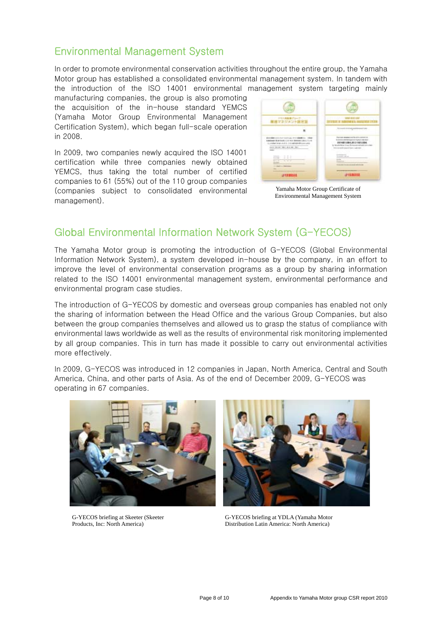### Environmental Management System

In order to promote environmental conservation activities throughout the entire group, the Yamaha Motor group has established a consolidated environmental management system. In tandem with the introduction of the ISO 14001 environmental management system targeting mainly

manufacturing companies, the group is also promoting the acquisition of the in-house standard YEMCS (Yamaha Motor Group Environmental Management Certification System), which began full-scale operation in 2008.

In 2009, two companies newly acquired the ISO 14001 certification while three companies newly obtained YEMCS, thus taking the total number of certified companies to 61 (55%) out of the 110 group companies (companies subject to consolidated environmental management).



Yamaha Motor Group Certificate of Environmental Management System

### Global Environmental Information Network System (G-YECOS)

The Yamaha Motor group is promoting the introduction of G-YECOS (Global Environmental Information Network System), a system developed in-house by the company, in an effort to improve the level of environmental conservation programs as a group by sharing information related to the ISO 14001 environmental management system, environmental performance and environmental program case studies.

The introduction of G-YECOS by domestic and overseas group companies has enabled not only the sharing of information between the Head Office and the various Group Companies, but also between the group companies themselves and allowed us to grasp the status of compliance with environmental laws worldwide as well as the results of environmental risk monitoring implemented by all group companies. This in turn has made it possible to carry out environmental activities more effectively.

In 2009, G-YECOS was introduced in 12 companies in Japan, North America, Central and South America, China, and other parts of Asia. As of the end of December 2009, G-YECOS was operating in 67 companies.



G-YECOS briefing at Skeeter (Skeeter Products, Inc: North America)



G-YECOS briefing at YDLA (Yamaha Motor Distribution Latin America: North America)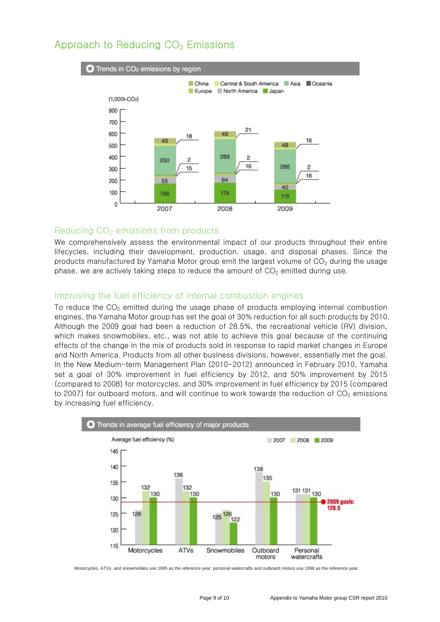#### Approach to Reducing CO<sub>2</sub> Emissions



#### Reducing  $CO<sub>2</sub>$  emissions from products

We comprehensively assess the environmental impact of our products throughout their entire lifecycles, including their development, production, usage, and disposal phases. Since the products manufactured by Yamaha Motor group emit the largest volume of  $CO<sub>2</sub>$  during the usage phase, we are actively taking steps to reduce the amount of  $CO<sub>2</sub>$  emitted during use.

#### Improving the fuel efficiency of internal combustion engines

To reduce the CO<sub>2</sub> emitted during the usage phase of products employing internal combustion engines, the Yamaha Motor group has set the goal of 30% reduction for all such products by 2010. Although the 2009 goal had been a reduction of 28.5%, the recreational vehicle (RV) division, which makes snowmobiles, etc., was not able to achieve this goal because of the continuing effects of the change in the mix of products sold in response to rapid market changes in Europe and North America. Products from all other business divisions, however, essentially met the goal. In the New Medium-term Management Plan (2010-2012) announced in February 2010, Yamaha set a goal of 30% improvement in fuel efficiency by 2012, and 50% improvement by 2015 (compared to 2008) for motorcycles, and 30% improvement in fuel efficiency by 2015 (compared to 2007) for outboard motors, and will continue to work towards the reduction of  $CO<sub>2</sub>$  emissions by increasing fuel efficiency.



Motorcycles, ATVs, and snowmobiles use 1995 as the reference year; personal watercrafts and outboard motors use 1998 as the reference year.